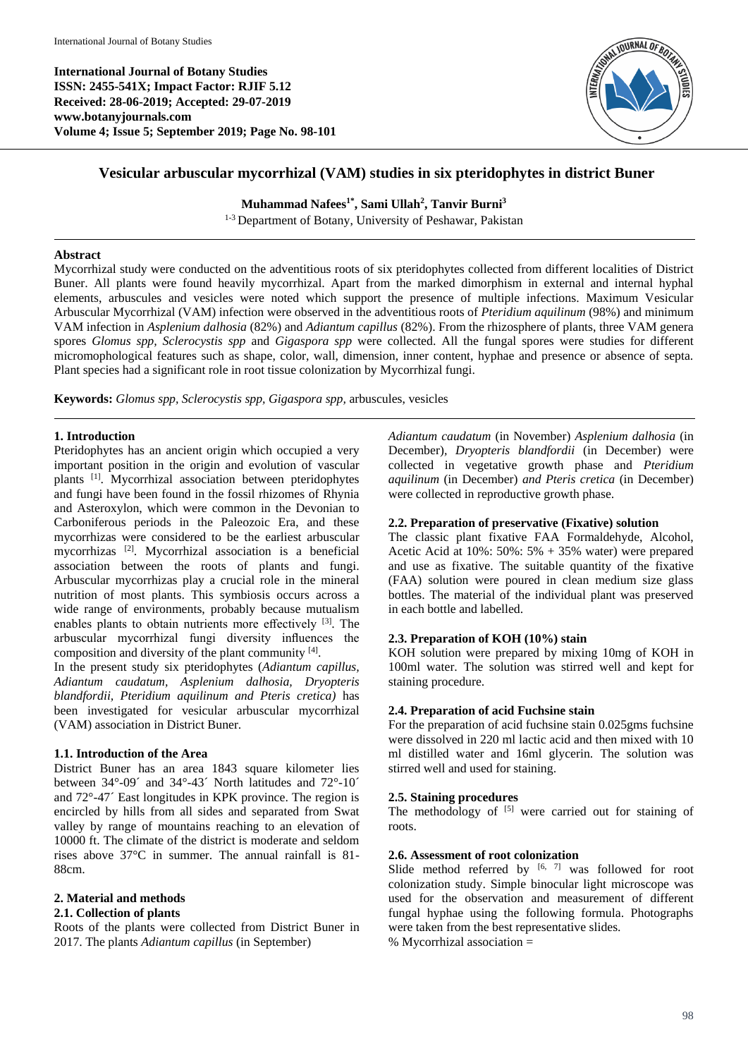**International Journal of Botany Studies ISSN: 2455-541X; Impact Factor: RJIF 5.12 Received: 28-06-2019; Accepted: 29-07-2019 www.botanyjournals.com Volume 4; Issue 5; September 2019; Page No. 98-101**



# **Vesicular arbuscular mycorrhizal (VAM) studies in six pteridophytes in district Buner**

**Muhammad Nafees1\*, Sami Ullah<sup>2</sup> , Tanvir Burni<sup>3</sup>**

1-3 Department of Botany, University of Peshawar, Pakistan

#### **Abstract**

Mycorrhizal study were conducted on the adventitious roots of six pteridophytes collected from different localities of District Buner. All plants were found heavily mycorrhizal. Apart from the marked dimorphism in external and internal hyphal elements, arbuscules and vesicles were noted which support the presence of multiple infections. Maximum Vesicular Arbuscular Mycorrhizal (VAM) infection were observed in the adventitious roots of *Pteridium aquilinum* (98%) and minimum VAM infection in *Asplenium dalhosia* (82%) and *Adiantum capillus* (82%). From the rhizosphere of plants, three VAM genera spores *Glomus spp, Sclerocystis spp* and *Gigaspora spp* were collected. All the fungal spores were studies for different micromophological features such as shape, color, wall, dimension, inner content, hyphae and presence or absence of septa. Plant species had a significant role in root tissue colonization by Mycorrhizal fungi.

**Keywords:** *Glomus spp, Sclerocystis spp, Gigaspora spp,* arbuscules, vesicles

# **1. Introduction**

Pteridophytes has an ancient origin which occupied a very important position in the origin and evolution of vascular plants [1]. Mycorrhizal association between pteridophytes and fungi have been found in the fossil rhizomes of Rhynia and Asteroxylon, which were common in the Devonian to Carboniferous periods in the Paleozoic Era, and these mycorrhizas were considered to be the earliest arbuscular mycorrhizas [2]. Mycorrhizal association is a beneficial association between the roots of plants and fungi. Arbuscular mycorrhizas play a crucial role in the mineral nutrition of most plants. This symbiosis occurs across a wide range of environments, probably because mutualism enables plants to obtain nutrients more effectively [3]. The arbuscular mycorrhizal fungi diversity influences the composition and diversity of the plant community  $[4]$ .

In the present study six pteridophytes (*Adiantum capillus, Adiantum caudatum, Asplenium dalhosia, Dryopteris blandfordii, Pteridium aquilinum and Pteris cretica)* has been investigated for vesicular arbuscular mycorrhizal (VAM) association in District Buner.

### **1.1. Introduction of the Area**

District Buner has an area 1843 square kilometer lies between 34°-09´ and 34°-43´ North latitudes and 72°-10´ and 72°-47´ East longitudes in KPK province. The region is encircled by hills from all sides and separated from Swat valley by range of mountains reaching to an elevation of 10000 ft. The climate of the district is moderate and seldom rises above 37°C in summer. The annual rainfall is 81- 88cm.

# **2. Material and methods**

### **2.1. Collection of plants**

Roots of the plants were collected from District Buner in 2017. The plants *Adiantum capillus* (in September)

*Adiantum caudatum* (in November) *Asplenium dalhosia* (in December)*, Dryopteris blandfordii* (in December) were collected in vegetative growth phase and *Pteridium aquilinum* (in December) *and Pteris cretica* (in December) were collected in reproductive growth phase.

## **2.2. Preparation of preservative (Fixative) solution**

The classic plant fixative FAA Formaldehyde, Alcohol, Acetic Acid at  $10\%$ :  $50\%$ :  $5\%$  + 35% water) were prepared and use as fixative. The suitable quantity of the fixative (FAA) solution were poured in clean medium size glass bottles. The material of the individual plant was preserved in each bottle and labelled.

# **2.3. Preparation of KOH (10%) stain**

KOH solution were prepared by mixing 10mg of KOH in 100ml water. The solution was stirred well and kept for staining procedure.

# **2.4. Preparation of acid Fuchsine stain**

For the preparation of acid fuchsine stain 0.025gms fuchsine were dissolved in 220 ml lactic acid and then mixed with 10 ml distilled water and 16ml glycerin. The solution was stirred well and used for staining.

### **2.5. Staining procedures**

The methodology of  $[5]$  were carried out for staining of roots.

### **2.6. Assessment of root colonization**

Slide method referred by  $[6, 7]$  was followed for root colonization study. Simple binocular light microscope was used for the observation and measurement of different fungal hyphae using the following formula. Photographs were taken from the best representative slides. % Mycorrhizal association =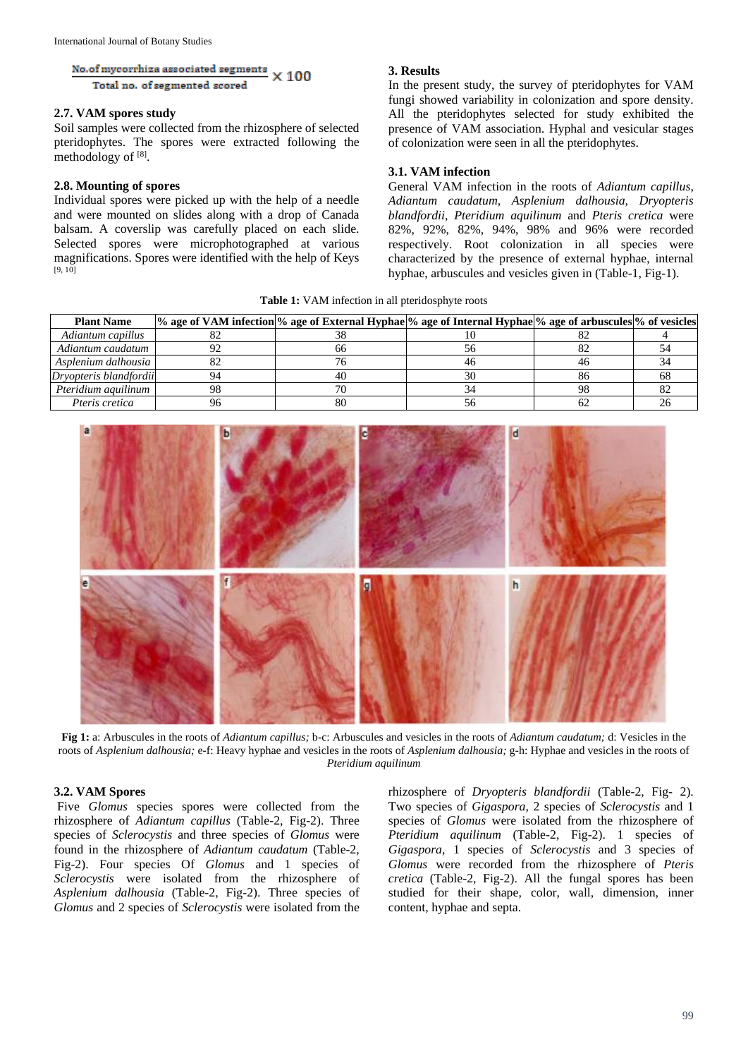No.of mycorrhiza associated segments  $\times 100$ Total no. of segmented scored

#### **2.7. VAM spores study**

Soil samples were collected from the rhizosphere of selected pteridophytes. The spores were extracted following the methodology of [8].

#### **2.8. Mounting of spores**

Individual spores were picked up with the help of a needle and were mounted on slides along with a drop of Canada balsam. A coverslip was carefully placed on each slide. Selected spores were microphotographed at various magnifications. Spores were identified with the help of Keys  $[9, 10]$ 

#### **3. Results**

In the present study, the survey of pteridophytes for VAM fungi showed variability in colonization and spore density. All the pteridophytes selected for study exhibited the presence of VAM association. Hyphal and vesicular stages of colonization were seen in all the pteridophytes.

#### **3.1. VAM infection**

General VAM infection in the roots of *Adiantum capillus*, *Adiantum caudatum, Asplenium dalhousia, Dryopteris blandfordii, Pteridium aquilinum* and *Pteris cretica* were 82%, 92%, 82%, 94%, 98% and 96% were recorded respectively. Root colonization in all species were characterized by the presence of external hyphae, internal hyphae, arbuscules and vesicles given in (Table-1, Fig-1).

**Table 1:** VAM infection in all pteridosphyte roots

| <b>Plant Name</b>      |    | % age of VAM infection % age of External Hyphae % age of Internal Hyphae % age of arbuscules % of vesicles |    |  |
|------------------------|----|------------------------------------------------------------------------------------------------------------|----|--|
| Adiantum capillus      |    |                                                                                                            |    |  |
| Adiantum caudatum      |    | nn                                                                                                         |    |  |
| Asplenium dalhousia    |    |                                                                                                            |    |  |
| Dryopteris blandfordii |    |                                                                                                            |    |  |
| Pteridium aquilinum    | ΩC |                                                                                                            | nc |  |
| Pteris cretica         |    | 80                                                                                                         |    |  |



**Fig 1:** a: Arbuscules in the roots of *Adiantum capillus;* b-c: Arbuscules and vesicles in the roots of *Adiantum caudatum;* d: Vesicles in the roots of *Asplenium dalhousia;* e-f: Heavy hyphae and vesicles in the roots of *Asplenium dalhousia;* g-h: Hyphae and vesicles in the roots of *Pteridium aquilinum*

# **3.2. VAM Spores**

Five *Glomus* species spores were collected from the rhizosphere of *Adiantum capillus* (Table-2, Fig-2). Three species of *Sclerocystis* and three species of *Glomus* were found in the rhizosphere of *Adiantum caudatum* (Table-2, Fig-2). Four species Of *Glomus* and 1 species of *Sclerocystis* were isolated from the rhizosphere of *Asplenium dalhousia* (Table-2, Fig-2). Three species of *Glomus* and 2 species of *Sclerocystis* were isolated from the

rhizosphere of *Dryopteris blandfordii* (Table-2, Fig- 2). Two species of *Gigaspora*, 2 species of *Sclerocystis* and 1 species of *Glomus* were isolated from the rhizosphere of *Pteridium aquilinum* (Table-2, Fig-2). 1 species of *Gigaspora*, 1 species of *Sclerocystis* and 3 species of *Glomus* were recorded from the rhizosphere of *Pteris cretica* (Table-2, Fig-2). All the fungal spores has been studied for their shape, color, wall, dimension, inner content, hyphae and septa.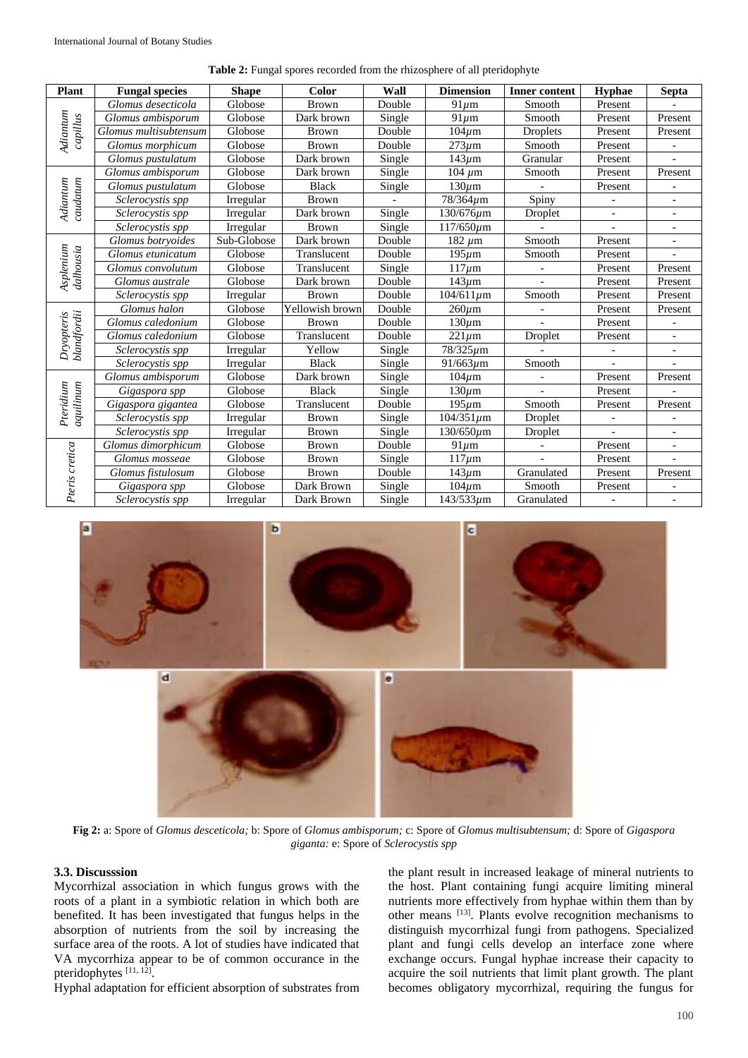|  | Table 2: Fungal spores recorded from the rhizosphere of all pteridophyte |  |  |  |  |
|--|--------------------------------------------------------------------------|--|--|--|--|
|--|--------------------------------------------------------------------------|--|--|--|--|

| <b>Plant</b>              | <b>Fungal species</b> | <b>Shape</b> | <b>Color</b>    | Wall                       | <b>Dimension</b> | <b>Inner content</b> | <b>Hyphae</b> | <b>Septa</b>             |
|---------------------------|-----------------------|--------------|-----------------|----------------------------|------------------|----------------------|---------------|--------------------------|
| Adiantum<br>capillus      | Glomus desecticola    | Globose      | <b>Brown</b>    | Double                     | $91 \mu m$       | Smooth               | Present       |                          |
|                           | Glomus ambisporum     | Globose      | Dark brown      | Single                     | $91 \mu m$       | Smooth               | Present       | Present                  |
|                           | Glomus multisubtensum | Globose      | <b>Brown</b>    | Double                     | $104 \mu m$      | Droplets             | Present       | Present                  |
|                           | Glomus morphicum      | Globose      | Brown           | Double                     | $273 \mu m$      | Smooth               | Present       |                          |
|                           | Glomus pustulatum     | Globose      | Dark brown      | Single                     | $143 \mu m$      | Granular             | Present       | $\overline{a}$           |
|                           | Glomus ambisporum     | Globose      | Dark brown      | Single                     | $104 \mu m$      | Smooth               | Present       | Present                  |
|                           | Glomus pustulatum     | Globose      | <b>Black</b>    | Single                     | $130 \mu m$      |                      | Present       |                          |
| caudatum<br>Adiantum      | Sclerocystis spp      | Irregular    | <b>Brown</b>    |                            | $78/364 \mu m$   | Spiny                |               |                          |
|                           | Sclerocystis spp      | Irregular    | Dark brown      | $\overline{\text{Single}}$ | $130/676 \mu m$  | Droplet              |               |                          |
|                           | Sclerocystis spp      | Irregular    | Brown           | Single                     | $117/650 \mu m$  |                      |               |                          |
|                           | Glomus botryoides     | Sub-Globose  | Dark brown      | Double                     | $182 \ \mu m$    | Smooth               | Present       | $\overline{a}$           |
| Asplenium<br>dalhousia    | Glomus etunicatum     | Globose      | Translucent     | Double                     | $195 \mu m$      | Smooth               | Present       |                          |
|                           | Glomus convolutum     | Globose      | Translucent     | Single                     | $117 \mu m$      |                      | Present       | Present                  |
|                           | Glomus australe       | Globose      | Dark brown      | Double                     | $143 \mu m$      |                      | Present       | Present                  |
|                           | Sclerocystis spp      | Irregular    | <b>Brown</b>    | Double                     | $104/611 \mu m$  | Smooth               | Present       | Present                  |
| Dryopteris<br>blandfordii | Glomus halon          | Globose      | Yellowish brown | Double                     | $260 \mu m$      |                      | Present       | Present                  |
|                           | Glomus caledonium     | Globose      | <b>Brown</b>    | Double                     | $130 \mu m$      |                      | Present       |                          |
|                           | Glomus caledonium     | Globose      | Translucent     | Double                     | $221 \mu m$      | Droplet              | Present       | $\overline{\phantom{a}}$ |
|                           | Sclerocystis spp      | Irregular    | Yellow          | Single                     | $78/325 \mu m$   |                      |               |                          |
|                           | Sclerocystis spp      | Irregular    | <b>Black</b>    | Single                     | $91/663 \mu m$   | Smooth               |               |                          |
|                           | Glomus ambisporum     | Globose      | Dark brown      | Single                     | $104 \mu m$      |                      | Present       | Present                  |
| aquilinum<br>Pteridium    | Gigaspora spp         | Globose      | <b>Black</b>    | Single                     | $130 \mu m$      |                      | Present       |                          |
|                           | Gigaspora gigantea    | Globose      | Translucent     | Double                     | $195 \mu m$      | Smooth               | Present       | Present                  |
|                           | Sclerocystis spp      | Irregular    | <b>Brown</b>    | Single                     | $104/351 \mu m$  | Droplet              |               |                          |
|                           | Sclerocystis spp      | Irregular    | <b>Brown</b>    | Single                     | $130/650 \mu m$  | Droplet              |               |                          |
| Pteris cretica            | Glomus dimorphicum    | Globose      | <b>Brown</b>    | Double                     | $91 \mu m$       |                      | Present       |                          |
|                           | Glomus mosseae        | Globose      | <b>Brown</b>    | Single                     | $117 \mu m$      | $\overline{a}$       | Present       | $\overline{\phantom{a}}$ |
|                           | Glomus fistulosum     | Globose      | Brown           | Double                     | $143 \mu m$      | Granulated           | Present       | Present                  |
|                           | Gigaspora spp         | Globose      | Dark Brown      | Single                     | $104 \mu m$      | Smooth               | Present       |                          |
|                           | Sclerocystis spp      | Irregular    | Dark Brown      | Single                     | $143/533 \mu m$  | Granulated           |               | $\overline{\phantom{a}}$ |



**Fig 2:** a: Spore of *Glomus desceticola;* b: Spore of *Glomus ambisporum;* c: Spore of *Glomus multisubtensum;* d: Spore of *Gigaspora giganta:* e: Spore of *Sclerocystis spp*

### **3.3. Discusssion**

Mycorrhizal association in which fungus grows with the roots of a plant in a symbiotic relation in which both are benefited. It has been investigated that fungus helps in the absorption of nutrients from the soil by increasing the surface area of the roots. A lot of studies have indicated that VA mycorrhiza appear to be of common occurance in the pteridophytes<sup>[11, 12]</sup>.

Hyphal adaptation for efficient absorption of substrates from

the plant result in increased leakage of mineral nutrients to the host. Plant containing fungi acquire limiting mineral nutrients more effectively from hyphae within them than by other means [13]. Plants evolve recognition mechanisms to distinguish mycorrhizal fungi from pathogens. Specialized plant and fungi cells develop an interface zone where exchange occurs. Fungal hyphae increase their capacity to acquire the soil nutrients that limit plant growth. The plant becomes obligatory mycorrhizal, requiring the fungus for